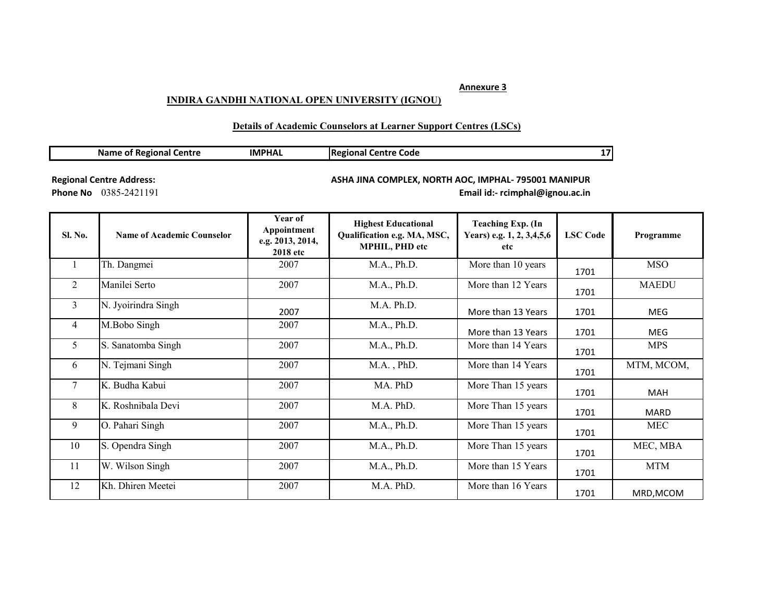## **Annexure 3**

## **INDIRA GANDHI NATIONAL OPEN UNIVERSITY (IGNOU)**

## **Details of Academic Counselors at Learner Support Centres (LSCs)**

| <b>Name of Regional Centre</b> |  |
|--------------------------------|--|
|--------------------------------|--|

**IMPHAL Regional Centre Code 17**

**Regional Centre Address:** 

## **ASHA JINA COMPLEX, NORTH AOC, IMPHAL- 795001 MANIPUR**

**Phone No** 0385-2421191 **Email id:- rcimphal@ignou.ac.in** 

| Sl. No.        | <b>Name of Academic Counselor</b> | Year of<br>Appointment<br>e.g. 2013, 2014,<br><b>2018</b> etc | <b>Highest Educational</b><br>Qualification e.g. MA, MSC,<br><b>MPHIL, PHD etc</b> | <b>Teaching Exp. (In</b><br>Years) e.g. 1, 2, 3,4,5,6<br>etc | <b>LSC Code</b> | Programme    |
|----------------|-----------------------------------|---------------------------------------------------------------|------------------------------------------------------------------------------------|--------------------------------------------------------------|-----------------|--------------|
| -1             | Th. Dangmei                       | 2007                                                          | M.A., Ph.D.                                                                        | More than 10 years                                           | 1701            | <b>MSO</b>   |
| 2              | Manilei Serto                     | 2007                                                          | M.A., Ph.D.                                                                        | More than 12 Years                                           | 1701            | <b>MAEDU</b> |
| 3              | N. Jyoirindra Singh               | 2007                                                          | M.A. Ph.D.                                                                         | More than 13 Years                                           | 1701            | MEG          |
| $\overline{4}$ | M.Bobo Singh                      | 2007                                                          | M.A., Ph.D.                                                                        | More than 13 Years                                           | 1701            | MEG          |
| 5              | S. Sanatomba Singh                | 2007                                                          | M.A., Ph.D.                                                                        | More than 14 Years                                           | 1701            | <b>MPS</b>   |
| 6              | N. Tejmani Singh                  | 2007                                                          | M.A., PhD.                                                                         | More than 14 Years                                           | 1701            | MTM, MCOM,   |
| 7              | K. Budha Kabui                    | 2007                                                          | MA. PhD                                                                            | More Than 15 years                                           | 1701            | <b>MAH</b>   |
| 8              | K. Roshnibala Devi                | 2007                                                          | M.A. PhD.                                                                          | More Than 15 years                                           | 1701            | <b>MARD</b>  |
| 9              | O. Pahari Singh                   | 2007                                                          | M.A., Ph.D.                                                                        | More Than 15 years                                           | 1701            | <b>MEC</b>   |
| 10             | S. Opendra Singh                  | 2007                                                          | M.A., Ph.D.                                                                        | More Than 15 years                                           | 1701            | MEC, MBA     |
| 11             | W. Wilson Singh                   | 2007                                                          | M.A., Ph.D.                                                                        | More than 15 Years                                           | 1701            | <b>MTM</b>   |
| 12             | Kh. Dhiren Meetei                 | 2007                                                          | M.A. PhD.                                                                          | More than 16 Years                                           | 1701            | MRD, MCOM    |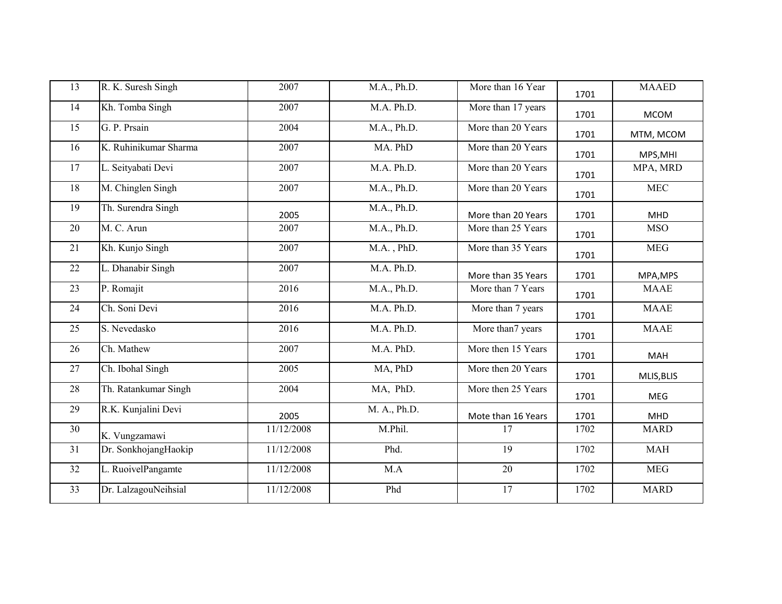| 13 | R. K. Suresh Singh    | 2007       | M.A., Ph.D.     | More than 16 Year  | 1701 | <b>MAAED</b> |
|----|-----------------------|------------|-----------------|--------------------|------|--------------|
| 14 | Kh. Tomba Singh       | 2007       | M.A. Ph.D.      | More than 17 years | 1701 | <b>MCOM</b>  |
| 15 | G. P. Prsain          | 2004       | M.A., Ph.D.     | More than 20 Years | 1701 | MTM, MCOM    |
| 16 | K. Ruhinikumar Sharma | 2007       | MA. PhD         | More than 20 Years | 1701 | MPS, MHI     |
| 17 | L. Seityabati Devi    | 2007       | M.A. Ph.D.      | More than 20 Years | 1701 | MPA, MRD     |
| 18 | M. Chinglen Singh     | 2007       | M.A., Ph.D.     | More than 20 Years | 1701 | <b>MEC</b>   |
| 19 | Th. Surendra Singh    | 2005       | M.A., Ph.D.     | More than 20 Years | 1701 | MHD          |
| 20 | M. C. Arun            | 2007       | M.A., Ph.D.     | More than 25 Years | 1701 | <b>MSO</b>   |
| 21 | Kh. Kunjo Singh       | 2007       | $M.A.$ , $PhD.$ | More than 35 Years | 1701 | <b>MEG</b>   |
| 22 | L. Dhanabir Singh     | 2007       | M.A. Ph.D.      | More than 35 Years | 1701 | MPA, MPS     |
| 23 | P. Romajit            | 2016       | M.A., Ph.D.     | More than 7 Years  | 1701 | <b>MAAE</b>  |
| 24 | Ch. Soni Devi         | 2016       | M.A. Ph.D.      | More than 7 years  | 1701 | <b>MAAE</b>  |
| 25 | S. Nevedasko          | 2016       | M.A. Ph.D.      | More than7 years   | 1701 | <b>MAAE</b>  |
| 26 | Ch. Mathew            | 2007       | M.A. PhD.       | More then 15 Years | 1701 | MAH          |
| 27 | Ch. Ibohal Singh      | 2005       | MA, PhD         | More then 20 Years | 1701 | MLIS, BLIS   |
| 28 | Th. Ratankumar Singh  | 2004       | MA, PhD.        | More then 25 Years | 1701 | MEG          |
| 29 | R.K. Kunjalini Devi   | 2005       | M. A., Ph.D.    | Mote than 16 Years | 1701 | MHD          |
| 30 | K. Vungzamawi         | 11/12/2008 | M.Phil.         | 17                 | 1702 | <b>MARD</b>  |
| 31 | Dr. SonkhojangHaokip  | 11/12/2008 | Phd.            | 19                 | 1702 | <b>MAH</b>   |
| 32 | L. RuoivelPangamte    | 11/12/2008 | M.A             | 20                 | 1702 | <b>MEG</b>   |
| 33 | Dr. LalzagouNeihsial  | 11/12/2008 | Phd             | 17                 | 1702 | <b>MARD</b>  |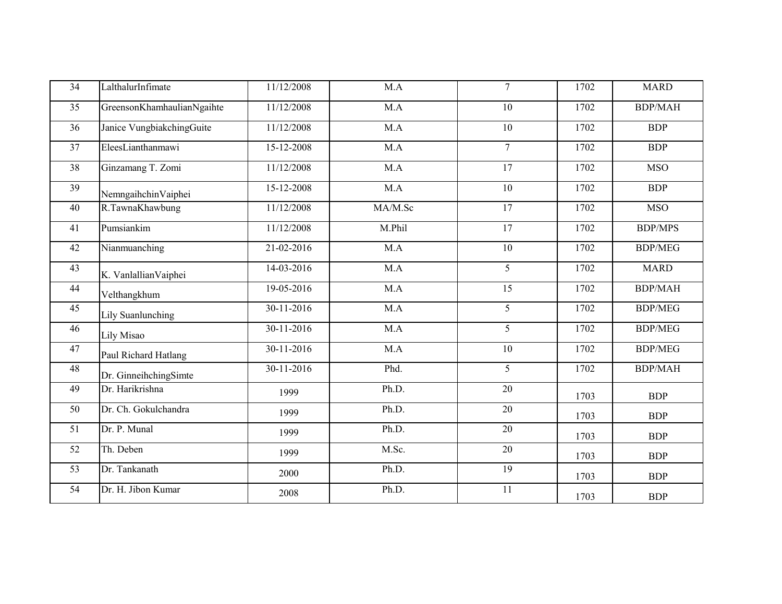| 34 | LalthalurInfimate          | 11/12/2008       | M.A     | $\overline{7}$  | 1702 | <b>MARD</b>    |
|----|----------------------------|------------------|---------|-----------------|------|----------------|
| 35 | GreensonKhamhaulianNgaihte | 11/12/2008       | M.A     | 10              | 1702 | <b>BDP/MAH</b> |
| 36 | Janice VungbiakchingGuite  | 11/12/2008       | M.A     | 10              | 1702 | <b>BDP</b>     |
| 37 | EleesLianthanmawi          | 15-12-2008       | M.A     | $\overline{7}$  | 1702 | <b>BDP</b>     |
| 38 | Ginzamang T. Zomi          | 11/12/2008       | M.A     | $\overline{17}$ | 1702 | <b>MSO</b>     |
| 39 | NemngaihchinVaiphei        | 15-12-2008       | M.A     | 10              | 1702 | <b>BDP</b>     |
| 40 | R.TawnaKhawbung            | 11/12/2008       | MA/M.Sc | $\overline{17}$ | 1702 | <b>MSO</b>     |
| 41 | Pumsiankim                 | 11/12/2008       | M.Phil  | 17              | 1702 | <b>BDP/MPS</b> |
| 42 | Nianmuanching              | 21-02-2016       | M.A     | 10              | 1702 | <b>BDP/MEG</b> |
| 43 | K. Vanlallian Vaiphei      | 14-03-2016       | M.A     | 5               | 1702 | <b>MARD</b>    |
| 44 | Velthangkhum               | 19-05-2016       | M.A     | 15              | 1702 | <b>BDP/MAH</b> |
| 45 | Lily Suanlunching          | 30-11-2016       | M.A     | 5               | 1702 | <b>BDP/MEG</b> |
| 46 | Lily Misao                 | $30 - 11 - 2016$ | M.A     | $\overline{5}$  | 1702 | <b>BDP/MEG</b> |
| 47 | Paul Richard Hatlang       | 30-11-2016       | M.A     | 10              | 1702 | <b>BDP/MEG</b> |
| 48 | Dr. GinneihchingSimte      | 30-11-2016       | Phd.    | 5               | 1702 | <b>BDP/MAH</b> |
| 49 | Dr. Harikrishna            | 1999             | Ph.D.   | 20              | 1703 | <b>BDP</b>     |
| 50 | Dr. Ch. Gokulchandra       | 1999             | Ph.D.   | 20              | 1703 | <b>BDP</b>     |
| 51 | Dr. P. Munal               | 1999             | Ph.D.   | 20              | 1703 | <b>BDP</b>     |
| 52 | Th. Deben                  | 1999             | M.Sc.   | 20              | 1703 | <b>BDP</b>     |
| 53 | Dr. Tankanath              | 2000             | Ph.D.   | 19              | 1703 | <b>BDP</b>     |
| 54 | Dr. H. Jibon Kumar         | 2008             | Ph.D.   | 11              | 1703 | <b>BDP</b>     |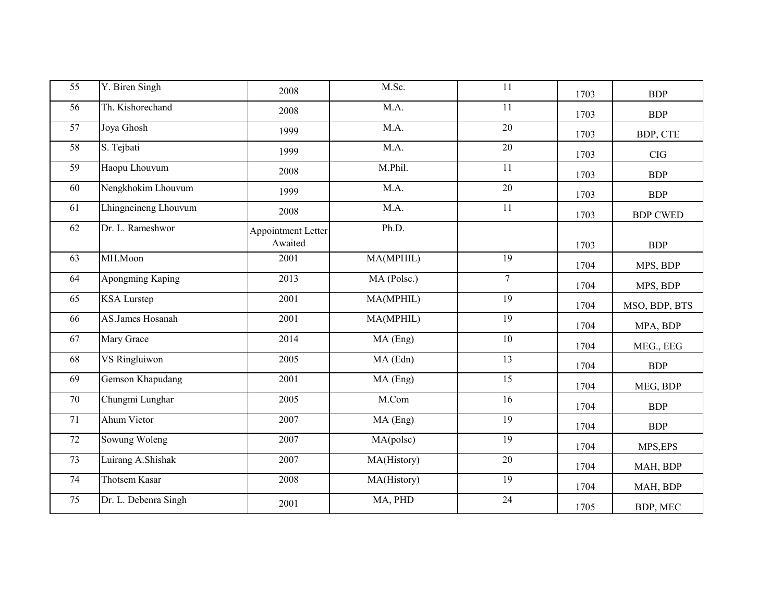| 55              | Y. Biren Singh       | 2008                          | M.Sc.       | 11              | 1703 | <b>BDP</b>      |
|-----------------|----------------------|-------------------------------|-------------|-----------------|------|-----------------|
| 56              | Th. Kishorechand     | 2008                          | M.A.        | 11              | 1703 | <b>BDP</b>      |
| 57              | Joya Ghosh           | 1999                          | M.A.        | 20              | 1703 | BDP, CTE        |
| 58              | S. Tejbati           | 1999                          | M.A.        | $\overline{20}$ | 1703 | CIG             |
| 59              | Haopu Lhouvum        | 2008                          | M.Phil.     | 11              | 1703 | <b>BDP</b>      |
| 60              | Nengkhokim Lhouvum   | 1999                          | M.A.        | $\overline{20}$ | 1703 | <b>BDP</b>      |
| 61              | Lhingneineng Lhouvum | 2008                          | M.A.        | $11\,$          | 1703 | <b>BDP CWED</b> |
| 62              | Dr. L. Rameshwor     | Appointment Letter<br>Awaited | Ph.D.       |                 | 1703 | <b>BDP</b>      |
| 63              | MH.Moon              | 2001                          | MA(MPHIL)   | 19              | 1704 | MPS, BDP        |
| 64              | Apongming Kaping     | 2013                          | MA (Polsc.) | $\overline{7}$  | 1704 | MPS, BDP        |
| 65              | <b>KSA</b> Lurstep   | 2001                          | MA(MPHIL)   | $\overline{19}$ | 1704 | MSO, BDP, BTS   |
| 66              | AS.James Hosanah     | 2001                          | MA(MPHIL)   | 19              | 1704 | MPA, BDP        |
| 67              | Mary Grace           | 2014                          | MA (Eng)    | $\overline{10}$ | 1704 | MEG., EEG       |
| 68              | VS Ringluiwon        | 2005                          | MA (Edn)    | 13              | 1704 | <b>BDP</b>      |
| 69              | Gemson Khapudang     | 2001                          | MA (Eng)    | $\overline{15}$ | 1704 | MEG, BDP        |
| 70              | Chungmi Lunghar      | 2005                          | M.Com       | 16              | 1704 | <b>BDP</b>      |
| 71              | Ahum Victor          | 2007                          | MA (Eng)    | 19              | 1704 | <b>BDP</b>      |
| 72              | Sowung Woleng        | 2007                          | MA(polsc)   | 19              | 1704 | MPS, EPS        |
| 73              | Luirang A.Shishak    | 2007                          | MA(History) | $\overline{20}$ | 1704 | MAH, BDP        |
| $\overline{74}$ | Thotsem Kasar        | 2008                          | MA(History) | $\overline{19}$ | 1704 | MAH, BDP        |
| 75              | Dr. L. Debenra Singh | 2001                          | MA, PHD     | 24              | 1705 | BDP, MEC        |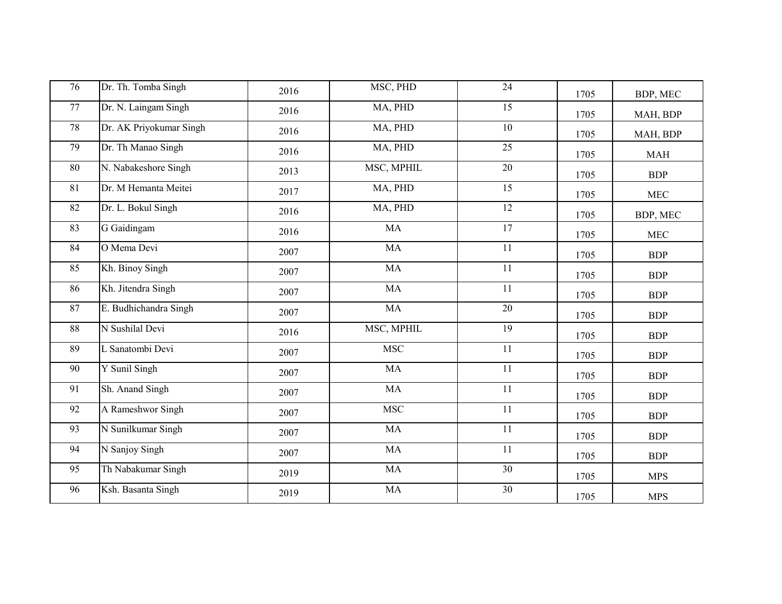| 76 | Dr. Th. Tomba Singh     | 2016 | MSC, PHD   | 24              | 1705 | BDP, MEC    |
|----|-------------------------|------|------------|-----------------|------|-------------|
| 77 | Dr. N. Laingam Singh    | 2016 | MA, PHD    | $\overline{15}$ | 1705 | MAH, BDP    |
| 78 | Dr. AK Priyokumar Singh | 2016 | MA, PHD    | 10              | 1705 | MAH, BDP    |
| 79 | Dr. Th Manao Singh      | 2016 | MA, PHD    | $\overline{25}$ | 1705 | <b>MAH</b>  |
| 80 | N. Nabakeshore Singh    | 2013 | MSC, MPHIL | 20              | 1705 | <b>BDP</b>  |
| 81 | Dr. M Hemanta Meitei    | 2017 | MA, PHD    | 15              | 1705 | MEC         |
| 82 | Dr. L. Bokul Singh      | 2016 | MA, PHD    | $\overline{12}$ | 1705 | BDP, MEC    |
| 83 | G Gaidingam             | 2016 | MA         | 17              | 1705 | ${\rm MEC}$ |
| 84 | O Mema Devi             | 2007 | MA         | 11              | 1705 | <b>BDP</b>  |
| 85 | Kh. Binoy Singh         | 2007 | MA         | 11              | 1705 | <b>BDP</b>  |
| 86 | Kh. Jitendra Singh      | 2007 | <b>MA</b>  | $\overline{11}$ | 1705 | <b>BDP</b>  |
| 87 | E. Budhichandra Singh   | 2007 | MA         | 20              | 1705 | <b>BDP</b>  |
| 88 | N Sushilal Devi         | 2016 | MSC, MPHIL | $\overline{19}$ | 1705 | <b>BDP</b>  |
| 89 | L Sanatombi Devi        | 2007 | <b>MSC</b> | 11              | 1705 | <b>BDP</b>  |
| 90 | Y Sunil Singh           | 2007 | MA         | 11              | 1705 | <b>BDP</b>  |
| 91 | Sh. Anand Singh         | 2007 | $\rm MA$   | 11              | 1705 | <b>BDP</b>  |
| 92 | A Rameshwor Singh       | 2007 | <b>MSC</b> | $\overline{11}$ | 1705 | <b>BDP</b>  |
| 93 | N Sunilkumar Singh      | 2007 | <b>MA</b>  | $\overline{11}$ | 1705 | <b>BDP</b>  |
| 94 | N Sanjoy Singh          | 2007 | MA         | 11              | 1705 | <b>BDP</b>  |
| 95 | Th Nabakumar Singh      | 2019 | MA         | 30              | 1705 | <b>MPS</b>  |
| 96 | Ksh. Basanta Singh      | 2019 | MA         | 30              | 1705 | <b>MPS</b>  |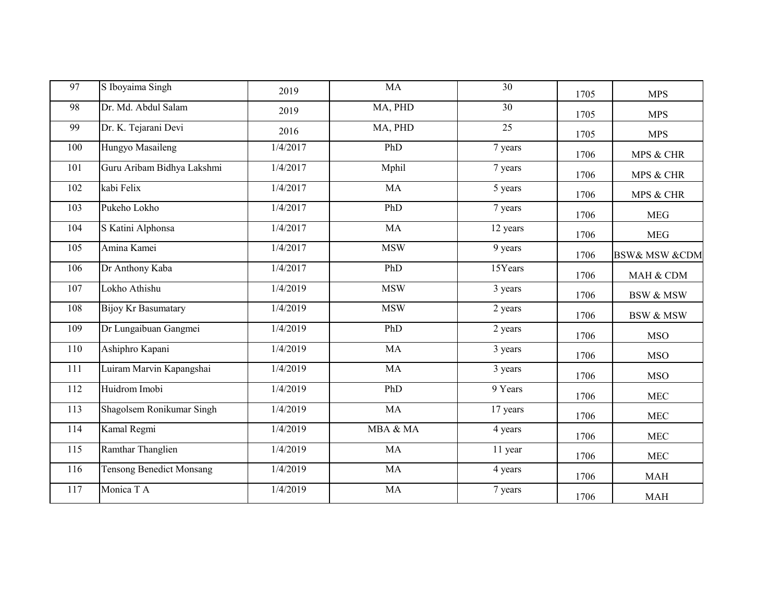| 97  | S Iboyaima Singh                | 2019     | MA         | 30              | 1705 | <b>MPS</b>                   |
|-----|---------------------------------|----------|------------|-----------------|------|------------------------------|
| 98  | Dr. Md. Abdul Salam             | 2019     | MA, PHD    | 30              | 1705 | <b>MPS</b>                   |
| 99  | Dr. K. Tejarani Devi            | 2016     | MA, PHD    | $\overline{25}$ | 1705 | <b>MPS</b>                   |
| 100 | Hungyo Masaileng                | 1/4/2017 | PhD        | 7 years         | 1706 | MPS & CHR                    |
| 101 | Guru Aribam Bidhya Lakshmi      | 1/4/2017 | Mphil      | 7 years         | 1706 | MPS & CHR                    |
| 102 | kabi Felix                      | 1/4/2017 | MA         | 5 years         | 1706 | MPS & CHR                    |
| 103 | Pukeho Lokho                    | 1/4/2017 | PhD        | 7 years         | 1706 | <b>MEG</b>                   |
| 104 | S Katini Alphonsa               | 1/4/2017 | MA         | 12 years        | 1706 | <b>MEG</b>                   |
| 105 | Amina Kamei                     | 1/4/2017 | <b>MSW</b> | 9 years         | 1706 | <b>BSW&amp; MSW &amp;CDM</b> |
| 106 | Dr Anthony Kaba                 | 1/4/2017 | PhD        | 15Years         | 1706 | MAH & CDM                    |
| 107 | Lokho Athishu                   | 1/4/2019 | <b>MSW</b> | 3 years         | 1706 | <b>BSW &amp; MSW</b>         |
| 108 | <b>Bijoy Kr Basumatary</b>      | 1/4/2019 | <b>MSW</b> | 2 years         | 1706 | <b>BSW &amp; MSW</b>         |
| 109 | Dr Lungaibuan Gangmei           | 1/4/2019 | PhD        | 2 years         | 1706 | <b>MSO</b>                   |
| 110 | Ashiphro Kapani                 | 1/4/2019 | MA         | 3 years         | 1706 | <b>MSO</b>                   |
| 111 | Luiram Marvin Kapangshai        | 1/4/2019 | MA         | 3 years         | 1706 | <b>MSO</b>                   |
| 112 | Huidrom Imobi                   | 1/4/2019 | PhD        | 9 Years         | 1706 | <b>MEC</b>                   |
| 113 | Shagolsem Ronikumar Singh       | 1/4/2019 | MA         | 17 years        | 1706 | ${\rm MEC}$                  |
| 114 | Kamal Regmi                     | 1/4/2019 | MBA & MA   | 4 years         | 1706 | <b>MEC</b>                   |
| 115 | Ramthar Thanglien               | 1/4/2019 | <b>MA</b>  | 11 year         | 1706 | <b>MEC</b>                   |
| 116 | <b>Tensong Benedict Monsang</b> | 1/4/2019 | <b>MA</b>  | 4 years         | 1706 | <b>MAH</b>                   |
| 117 | Monica T A                      | 1/4/2019 | MA         | 7 years         | 1706 | <b>MAH</b>                   |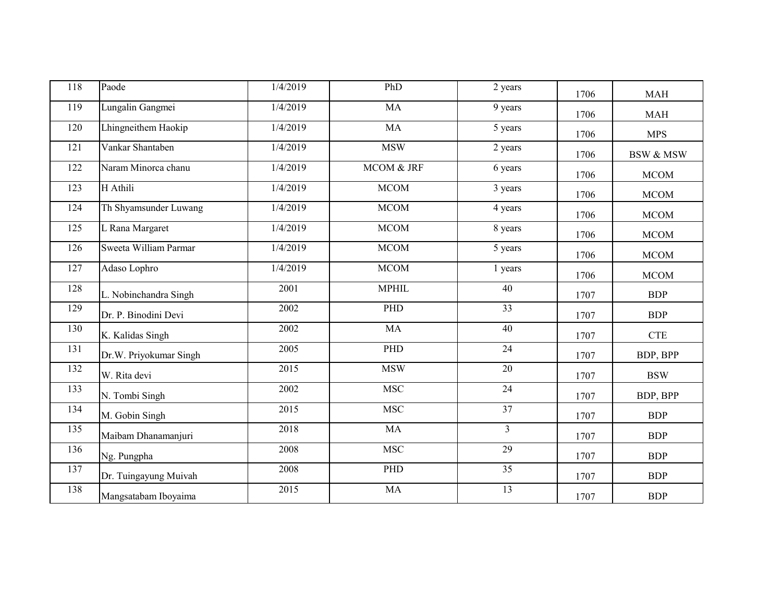| 118 | Paode                  | 1/4/2019 | PhD                           | 2 years         | 1706 | <b>MAH</b>           |
|-----|------------------------|----------|-------------------------------|-----------------|------|----------------------|
| 119 | Lungalin Gangmei       | 1/4/2019 | <b>MA</b>                     | 9 years         | 1706 | <b>MAH</b>           |
| 120 | Lhingneithem Haokip    | 1/4/2019 | MA                            | 5 years         | 1706 | <b>MPS</b>           |
| 121 | Vankar Shantaben       | 1/4/2019 | $\operatorname{\mathsf{MSW}}$ | 2 years         | 1706 | <b>BSW &amp; MSW</b> |
| 122 | Naram Minorca chanu    | 1/4/2019 | MCOM & JRF                    | 6 years         | 1706 | <b>MCOM</b>          |
| 123 | H Athili               | 1/4/2019 | <b>MCOM</b>                   | 3 years         | 1706 | MCOM                 |
| 124 | Th Shyamsunder Luwang  | 1/4/2019 | <b>MCOM</b>                   | 4 years         | 1706 | MCOM                 |
| 125 | L Rana Margaret        | 1/4/2019 | <b>MCOM</b>                   | 8 years         | 1706 | <b>MCOM</b>          |
| 126 | Sweeta William Parmar  | 1/4/2019 | <b>MCOM</b>                   | 5 years         | 1706 | <b>MCOM</b>          |
| 127 | Adaso Lophro           | 1/4/2019 | <b>MCOM</b>                   | 1 years         | 1706 | <b>MCOM</b>          |
| 128 | L. Nobinchandra Singh  | 2001     | <b>MPHIL</b>                  | 40              | 1707 | <b>BDP</b>           |
| 129 | Dr. P. Binodini Devi   | 2002     | PHD                           | 33              | 1707 | <b>BDP</b>           |
| 130 | K. Kalidas Singh       | 2002     | MA                            | 40              | 1707 | <b>CTE</b>           |
| 131 | Dr.W. Priyokumar Singh | 2005     | PHD                           | 24              | 1707 | BDP, BPP             |
| 132 | W. Rita devi           | 2015     | <b>MSW</b>                    | 20              | 1707 | <b>BSW</b>           |
| 133 | N. Tombi Singh         | 2002     | MSC                           | 24              | 1707 | BDP, BPP             |
| 134 | M. Gobin Singh         | 2015     | <b>MSC</b>                    | 37              | 1707 | <b>BDP</b>           |
| 135 | Maibam Dhanamanjuri    | 2018     | MA                            | $\overline{3}$  | 1707 | <b>BDP</b>           |
| 136 | Ng. Pungpha            | 2008     | <b>MSC</b>                    | $\overline{29}$ | 1707 | <b>BDP</b>           |
| 137 | Dr. Tuingayung Muivah  | 2008     | PHD                           | 35              | 1707 | <b>BDP</b>           |
| 138 | Mangsatabam Iboyaima   | 2015     | MA                            | 13              | 1707 | <b>BDP</b>           |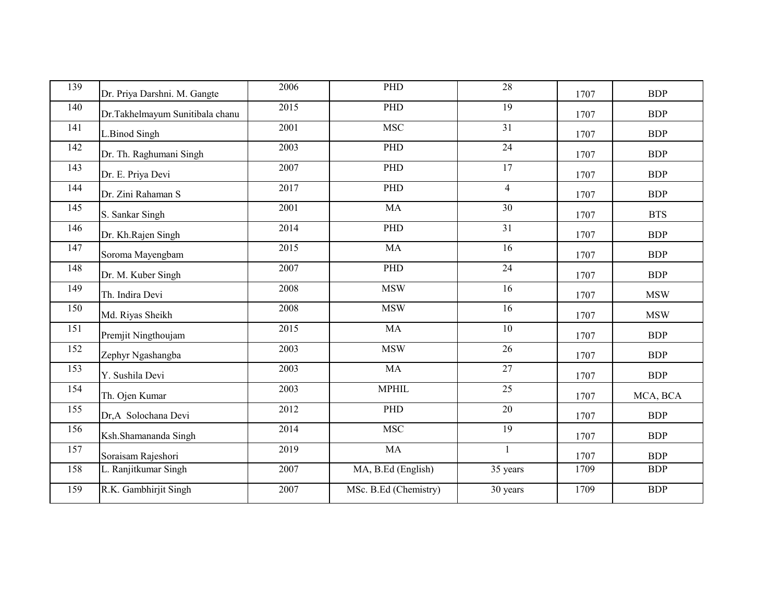| 139 | Dr. Priya Darshni. M. Gangte    | 2006 | PHD                   | 28              | 1707 | <b>BDP</b> |
|-----|---------------------------------|------|-----------------------|-----------------|------|------------|
| 140 | Dr.Takhelmayum Sunitibala chanu | 2015 | PHD                   | 19              | 1707 | <b>BDP</b> |
| 141 | L.Binod Singh                   | 2001 | <b>MSC</b>            | $\overline{31}$ | 1707 | <b>BDP</b> |
| 142 | Dr. Th. Raghumani Singh         | 2003 | PHD                   | $\overline{24}$ | 1707 | <b>BDP</b> |
| 143 | Dr. E. Priya Devi               | 2007 | PHD                   | $\overline{17}$ | 1707 | <b>BDP</b> |
| 144 | Dr. Zini Rahaman S              | 2017 | PHD                   | $\overline{4}$  | 1707 | <b>BDP</b> |
| 145 | S. Sankar Singh                 | 2001 | <b>MA</b>             | 30              | 1707 | <b>BTS</b> |
| 146 | Dr. Kh.Rajen Singh              | 2014 | PHD                   | 31              | 1707 | <b>BDP</b> |
| 147 | Soroma Mayengbam                | 2015 | <b>MA</b>             | 16              | 1707 | <b>BDP</b> |
| 148 | Dr. M. Kuber Singh              | 2007 | PHD                   | 24              | 1707 | <b>BDP</b> |
| 149 | Th. Indira Devi                 | 2008 | <b>MSW</b>            | 16              | 1707 | <b>MSW</b> |
| 150 | Md. Riyas Sheikh                | 2008 | <b>MSW</b>            | 16              | 1707 | <b>MSW</b> |
| 151 | Premjit Ningthoujam             | 2015 | <b>MA</b>             | 10              | 1707 | <b>BDP</b> |
| 152 | Zephyr Ngashangba               | 2003 | <b>MSW</b>            | 26              | 1707 | <b>BDP</b> |
| 153 | Y. Sushila Devi                 | 2003 | MA                    | 27              | 1707 | <b>BDP</b> |
| 154 | Th. Ojen Kumar                  | 2003 | <b>MPHIL</b>          | 25              | 1707 | MCA, BCA   |
| 155 | Dr,A Solochana Devi             | 2012 | PHD                   | 20              | 1707 | <b>BDP</b> |
| 156 | Ksh.Shamananda Singh            | 2014 | <b>MSC</b>            | $\overline{19}$ | 1707 | <b>BDP</b> |
| 157 | Soraisam Rajeshori              | 2019 | MA                    | $\mathbf{1}$    | 1707 | <b>BDP</b> |
| 158 | L. Ranjitkumar Singh            | 2007 | MA, B.Ed (English)    | 35 years        | 1709 | <b>BDP</b> |
| 159 | R.K. Gambhirjit Singh           | 2007 | MSc. B.Ed (Chemistry) | 30 years        | 1709 | <b>BDP</b> |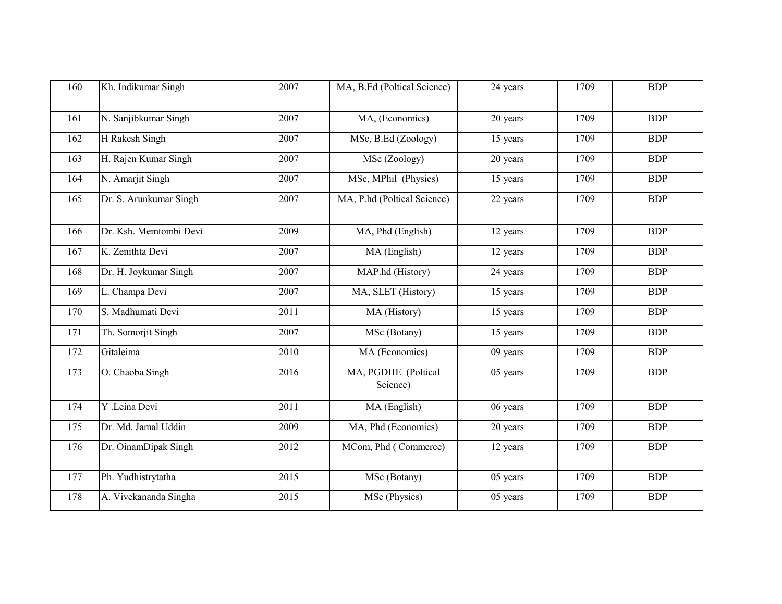| 160 | Kh. Indikumar Singh    | 2007 | MA, B.Ed (Poltical Science)      | 24 years | 1709 | <b>BDP</b> |
|-----|------------------------|------|----------------------------------|----------|------|------------|
| 161 | N. Sanjibkumar Singh   | 2007 | MA, (Economics)                  | 20 years | 1709 | <b>BDP</b> |
| 162 | H Rakesh Singh         | 2007 | MSc, B.Ed (Zoology)              | 15 years | 1709 | <b>BDP</b> |
| 163 | H. Rajen Kumar Singh   | 2007 | MSc (Zoology)                    | 20 years | 1709 | <b>BDP</b> |
| 164 | N. Amarjit Singh       | 2007 | MSc, MPhil (Physics)             | 15 years | 1709 | <b>BDP</b> |
| 165 | Dr. S. Arunkumar Singh | 2007 | MA, P.hd (Poltical Science)      | 22 years | 1709 | <b>BDP</b> |
| 166 | Dr. Ksh. Memtombi Devi | 2009 | MA, Phd (English)                | 12 years | 1709 | <b>BDP</b> |
| 167 | K. Zenithta Devi       | 2007 | MA (English)                     | 12 years | 1709 | <b>BDP</b> |
| 168 | Dr. H. Joykumar Singh  | 2007 | MAP.hd (History)                 | 24 years | 1709 | <b>BDP</b> |
| 169 | L. Champa Devi         | 2007 | MA, SLET (History)               | 15 years | 1709 | <b>BDP</b> |
| 170 | S. Madhumati Devi      | 2011 | MA (History)                     | 15 years | 1709 | <b>BDP</b> |
| 171 | Th. Somorjit Singh     | 2007 | $\overline{\text{MSc}}$ (Botany) | 15 years | 1709 | <b>BDP</b> |
| 172 | Gitaleima              | 2010 | MA (Economics)                   | 09 years | 1709 | <b>BDP</b> |
| 173 | O. Chaoba Singh        | 2016 | MA, PGDHE (Poltical<br>Science)  | 05 years | 1709 | <b>BDP</b> |
| 174 | Y .Leina Devi          | 2011 | MA (English)                     | 06 years | 1709 | <b>BDP</b> |
| 175 | Dr. Md. Jamal Uddin    | 2009 | MA, Phd (Economics)              | 20 years | 1709 | <b>BDP</b> |
| 176 | Dr. OinamDipak Singh   | 2012 | MCom, Phd (Commerce)             | 12 years | 1709 | <b>BDP</b> |
| 177 | Ph. Yudhistrytatha     | 2015 | MSc (Botany)                     | 05 years | 1709 | <b>BDP</b> |
| 178 | A. Vivekananda Singha  | 2015 | MSc (Physics)                    | 05 years | 1709 | <b>BDP</b> |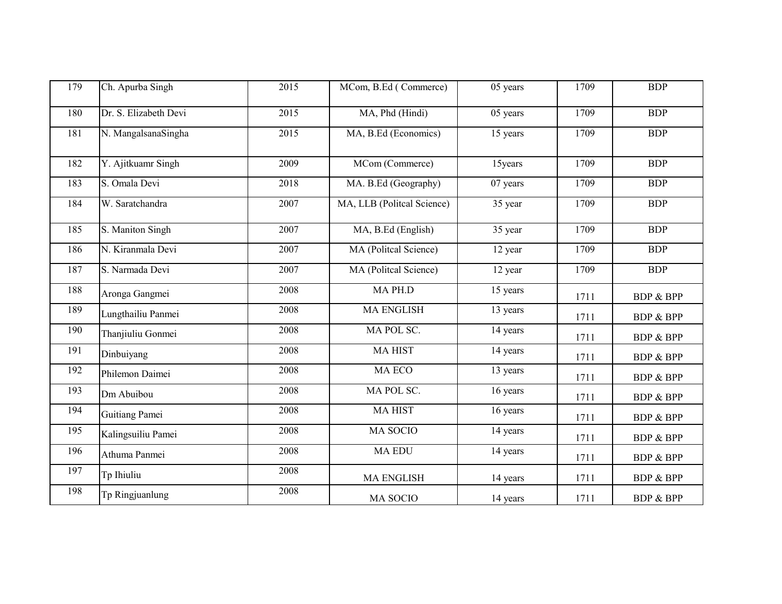| 179 | Ch. Apurba Singh      | 2015 | MCom, B.Ed (Commerce)      | 05 years | 1709 | <b>BDP</b>           |
|-----|-----------------------|------|----------------------------|----------|------|----------------------|
| 180 | Dr. S. Elizabeth Devi | 2015 | MA, Phd (Hindi)            | 05 years | 1709 | <b>BDP</b>           |
| 181 | N. MangalsanaSingha   | 2015 | MA, B.Ed (Economics)       | 15 years | 1709 | <b>BDP</b>           |
| 182 | Y. Ajitkuamr Singh    | 2009 | MCom (Commerce)            | 15years  | 1709 | <b>BDP</b>           |
| 183 | S. Omala Devi         | 2018 | MA. B.Ed (Geography)       | 07 years | 1709 | <b>BDP</b>           |
| 184 | W. Saratchandra       | 2007 | MA, LLB (Politcal Science) | 35 year  | 1709 | <b>BDP</b>           |
| 185 | S. Maniton Singh      | 2007 | MA, B.Ed (English)         | 35 year  | 1709 | <b>BDP</b>           |
| 186 | N. Kiranmala Devi     | 2007 | MA (Politcal Science)      | 12 year  | 1709 | <b>BDP</b>           |
| 187 | S. Narmada Devi       | 2007 | MA (Politcal Science)      | 12 year  | 1709 | <b>BDP</b>           |
| 188 | Aronga Gangmei        | 2008 | MA PH.D                    | 15 years | 1711 | <b>BDP &amp; BPP</b> |
| 189 | Lungthailiu Panmei    | 2008 | <b>MA ENGLISH</b>          | 13 years | 1711 | <b>BDP &amp; BPP</b> |
| 190 | Thanjiuliu Gonmei     | 2008 | MA POL SC.                 | 14 years | 1711 | <b>BDP &amp; BPP</b> |
| 191 | Dinbuiyang            | 2008 | <b>MAHIST</b>              | 14 years | 1711 | <b>BDP &amp; BPP</b> |
| 192 | Philemon Daimei       | 2008 | MA ECO                     | 13 years | 1711 | <b>BDP &amp; BPP</b> |
| 193 | Dm Abuibou            | 2008 | MA POL SC.                 | 16 years | 1711 | <b>BDP &amp; BPP</b> |
| 194 | Guitiang Pamei        | 2008 | <b>MAHIST</b>              | 16 years | 1711 | <b>BDP &amp; BPP</b> |
| 195 | Kalingsuiliu Pamei    | 2008 | MA SOCIO                   | 14 years | 1711 | <b>BDP &amp; BPP</b> |
| 196 | Athuma Panmei         | 2008 | <b>MA EDU</b>              | 14 years | 1711 | <b>BDP &amp; BPP</b> |
| 197 | Tp Ihiuliu            | 2008 | <b>MA ENGLISH</b>          | 14 years | 1711 | <b>BDP &amp; BPP</b> |
| 198 | Tp Ringjuanlung       | 2008 | MA SOCIO                   | 14 years | 1711 | <b>BDP &amp; BPP</b> |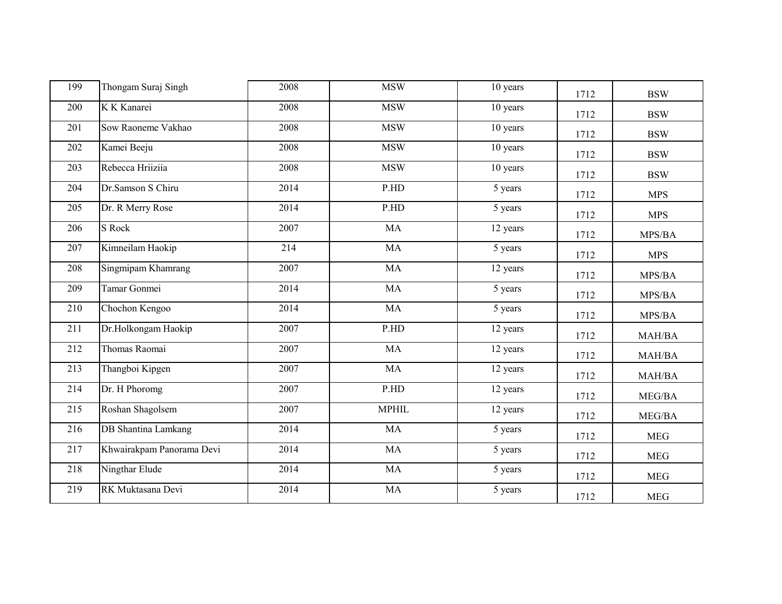| 199 | Thongam Suraj Singh        | 2008 | <b>MSW</b>   | 10 years | 1712 | <b>BSW</b> |
|-----|----------------------------|------|--------------|----------|------|------------|
| 200 | K K Kanarei                | 2008 | <b>MSW</b>   | 10 years | 1712 | <b>BSW</b> |
| 201 | Sow Raoneme Vakhao         | 2008 | <b>MSW</b>   | 10 years | 1712 | <b>BSW</b> |
| 202 | Kamei Beeju                | 2008 | <b>MSW</b>   | 10 years | 1712 | <b>BSW</b> |
| 203 | Rebecca Hriiziia           | 2008 | <b>MSW</b>   | 10 years | 1712 | <b>BSW</b> |
| 204 | Dr.Samson S Chiru          | 2014 | P.HD         | 5 years  | 1712 | <b>MPS</b> |
| 205 | Dr. R Merry Rose           | 2014 | P.HD         | 5 years  | 1712 | <b>MPS</b> |
| 206 | S Rock                     | 2007 | MA           | 12 years | 1712 | MPS/BA     |
| 207 | Kimneilam Haokip           | 214  | MA           | 5 years  | 1712 | <b>MPS</b> |
| 208 | Singmipam Khamrang         | 2007 | MA           | 12 years | 1712 | MPS/BA     |
| 209 | Tamar Gonmei               | 2014 | <b>MA</b>    | 5 years  | 1712 | MPS/BA     |
| 210 | Chochon Kengoo             | 2014 | MA           | 5 years  | 1712 | MPS/BA     |
| 211 | Dr.Holkongam Haokip        | 2007 | P.HD         | 12 years | 1712 | MAH/BA     |
| 212 | Thomas Raomai              | 2007 | MA           | 12 years | 1712 | MAH/BA     |
| 213 | Thangboi Kipgen            | 2007 | MA           | 12 years | 1712 | MAH/BA     |
| 214 | Dr. H Phoromg              | 2007 | P.HD         | 12 years | 1712 | MEG/BA     |
| 215 | Roshan Shagolsem           | 2007 | <b>MPHIL</b> | 12 years | 1712 | MEG/BA     |
| 216 | <b>DB</b> Shantina Lamkang | 2014 | MA           | 5 years  | 1712 | <b>MEG</b> |
| 217 | Khwairakpam Panorama Devi  | 2014 | MA           | 5 years  | 1712 | <b>MEG</b> |
| 218 | Ningthar Elude             | 2014 | MA           | 5 years  | 1712 | <b>MEG</b> |
| 219 | RK Muktasana Devi          | 2014 | MA           | 5 years  | 1712 | <b>MEG</b> |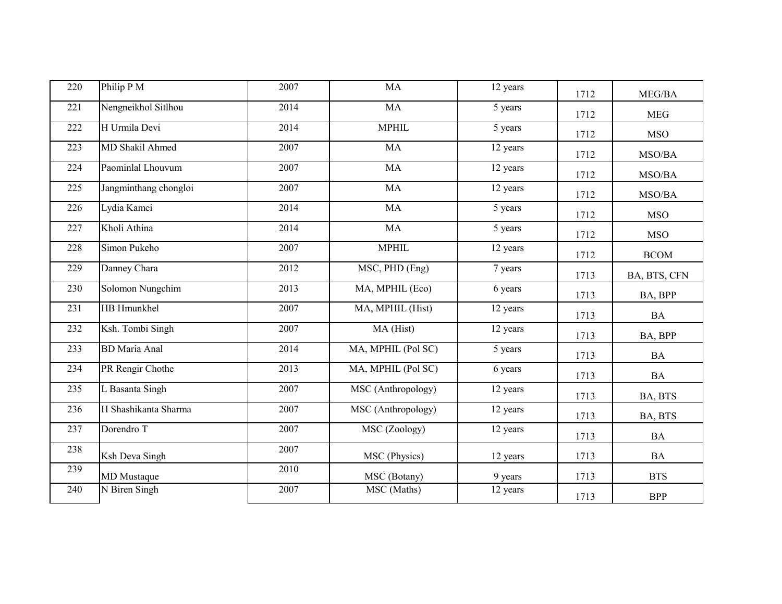| 220 | Philip P M            | 2007 | MA                 | 12 years | 1712 | MEG/BA       |
|-----|-----------------------|------|--------------------|----------|------|--------------|
| 221 | Nengneikhol Sitlhou   | 2014 | MA                 | 5 years  | 1712 | <b>MEG</b>   |
| 222 | H Urmila Devi         | 2014 | <b>MPHIL</b>       | 5 years  | 1712 | <b>MSO</b>   |
| 223 | MD Shakil Ahmed       | 2007 | MA                 | 12 years | 1712 | MSO/BA       |
| 224 | Paominlal Lhouvum     | 2007 | MA                 | 12 years | 1712 | MSO/BA       |
| 225 | Jangminthang chongloi | 2007 | MA                 | 12 years | 1712 | MSO/BA       |
| 226 | Lydia Kamei           | 2014 | <b>MA</b>          | 5 years  | 1712 | <b>MSO</b>   |
| 227 | Kholi Athina          | 2014 | MA                 | 5 years  | 1712 | <b>MSO</b>   |
| 228 | Simon Pukeho          | 2007 | <b>MPHIL</b>       | 12 years | 1712 | <b>BCOM</b>  |
| 229 | Danney Chara          | 2012 | MSC, PHD (Eng)     | 7 years  | 1713 | BA, BTS, CFN |
| 230 | Solomon Nungchim      | 2013 | MA, MPHIL (Eco)    | 6 years  | 1713 | BA, BPP      |
| 231 | HB Hmunkhel           | 2007 | MA, MPHIL (Hist)   | 12 years | 1713 | <b>BA</b>    |
| 232 | Ksh. Tombi Singh      | 2007 | MA (Hist)          | 12 years | 1713 | BA, BPP      |
| 233 | <b>BD</b> Maria Anal  | 2014 | MA, MPHIL (Pol SC) | 5 years  | 1713 | BA           |
| 234 | PR Rengir Chothe      | 2013 | MA, MPHIL (Pol SC) | 6 years  | 1713 | <b>BA</b>    |
| 235 | L Basanta Singh       | 2007 | MSC (Anthropology) | 12 years | 1713 | BA, BTS      |
| 236 | H Shashikanta Sharma  | 2007 | MSC (Anthropology) | 12 years | 1713 | BA, BTS      |
| 237 | Dorendro <sup>T</sup> | 2007 | MSC (Zoology)      | 12 years | 1713 | BA           |
| 238 | Ksh Deva Singh        | 2007 | MSC (Physics)      | 12 years | 1713 | <b>BA</b>    |
| 239 | <b>MD</b> Mustaque    | 2010 | MSC (Botany)       | 9 years  | 1713 | <b>BTS</b>   |
| 240 | N Biren Singh         | 2007 | MSC (Maths)        | 12 years | 1713 | <b>BPP</b>   |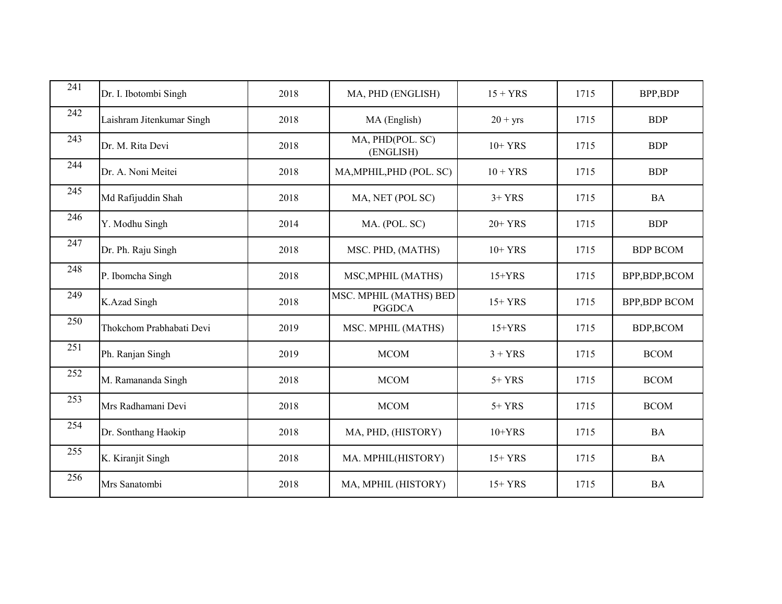| 241 | Dr. I. Ibotombi Singh     | 2018 | MA, PHD (ENGLISH)                       | $15 + YRS$ | 1715 | BPP,BDP             |
|-----|---------------------------|------|-----------------------------------------|------------|------|---------------------|
| 242 | Laishram Jitenkumar Singh | 2018 | MA (English)                            | $20 + yrs$ | 1715 | <b>BDP</b>          |
| 243 | Dr. M. Rita Devi          | 2018 | MA, PHD(POL. SC)<br>(ENGLISH)           | $10+YRS$   | 1715 | <b>BDP</b>          |
| 244 | Dr. A. Noni Meitei        | 2018 | MA, MPHIL, PHD (POL. SC)                | $10 + YRS$ | 1715 | <b>BDP</b>          |
| 245 | Md Rafijuddin Shah        | 2018 | MA, NET (POL SC)                        | $3+YRS$    | 1715 | <b>BA</b>           |
| 246 | Y. Modhu Singh            | 2014 | MA. (POL. SC)                           | $20+YRS$   | 1715 | <b>BDP</b>          |
| 247 | Dr. Ph. Raju Singh        | 2018 | MSC. PHD, (MATHS)                       | $10+YRS$   | 1715 | <b>BDP BCOM</b>     |
| 248 | P. Ibomcha Singh          | 2018 | MSC, MPHIL (MATHS)                      | $15+YRS$   | 1715 | BPP,BDP,BCOM        |
| 249 | K.Azad Singh              | 2018 | MSC. MPHIL (MATHS) BED<br><b>PGGDCA</b> | $15+YRS$   | 1715 | <b>BPP,BDP BCOM</b> |
| 250 | Thokchom Prabhabati Devi  | 2019 | MSC. MPHIL (MATHS)                      | $15+YRS$   | 1715 | BDP,BCOM            |
| 251 | Ph. Ranjan Singh          | 2019 | <b>MCOM</b>                             | $3 + YRS$  | 1715 | <b>BCOM</b>         |
| 252 | M. Ramananda Singh        | 2018 | <b>MCOM</b>                             | $5+YRS$    | 1715 | <b>BCOM</b>         |
| 253 | Mrs Radhamani Devi        | 2018 | <b>MCOM</b>                             | $5+YRS$    | 1715 | <b>BCOM</b>         |
| 254 | Dr. Sonthang Haokip       | 2018 | MA, PHD, (HISTORY)                      | $10+YRS$   | 1715 | <b>BA</b>           |
| 255 | K. Kiranjit Singh         | 2018 | MA. MPHIL(HISTORY)                      | $15+YRS$   | 1715 | <b>BA</b>           |
| 256 | Mrs Sanatombi             | 2018 | MA, MPHIL (HISTORY)                     | $15+YRS$   | 1715 | <b>BA</b>           |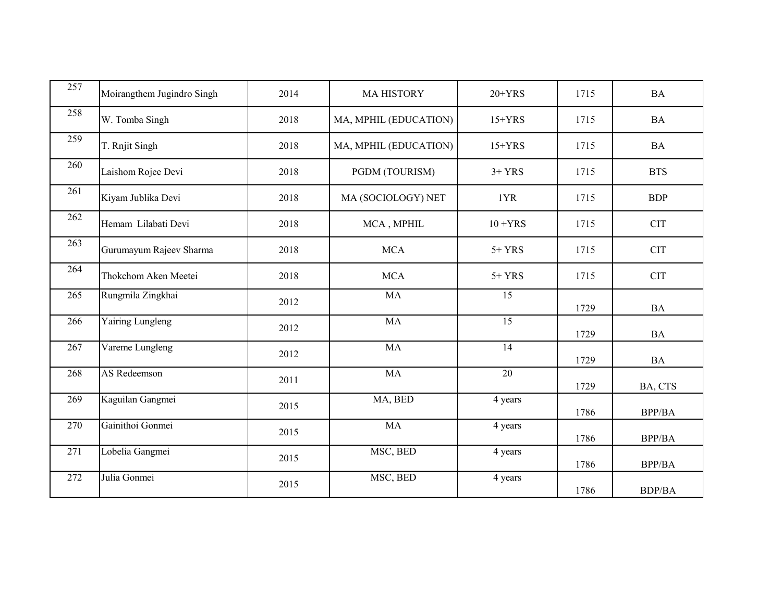| 257 | Moirangthem Jugindro Singh | 2014 | <b>MA HISTORY</b>     | $20+YRS$   | 1715 | <b>BA</b>     |
|-----|----------------------------|------|-----------------------|------------|------|---------------|
| 258 | W. Tomba Singh             | 2018 | MA, MPHIL (EDUCATION) | $15+YRS$   | 1715 | <b>BA</b>     |
| 259 | T. Rnjit Singh             | 2018 | MA, MPHIL (EDUCATION) | $15+YRS$   | 1715 | <b>BA</b>     |
| 260 | Laishom Rojee Devi         | 2018 | PGDM (TOURISM)        | $3+YRS$    | 1715 | <b>BTS</b>    |
| 261 | Kiyam Jublika Devi         | 2018 | MA (SOCIOLOGY) NET    | 1YR        | 1715 | <b>BDP</b>    |
| 262 | Hemam Lilabati Devi        | 2018 | MCA, MPHIL            | $10 + YRS$ | 1715 | <b>CIT</b>    |
| 263 | Gurumayum Rajeev Sharma    | 2018 | <b>MCA</b>            | $5+YRS$    | 1715 | <b>CIT</b>    |
| 264 | Thokchom Aken Meetei       | 2018 | <b>MCA</b>            | $5+YRS$    | 1715 | <b>CIT</b>    |
| 265 | Rungmila Zingkhai          | 2012 | <b>MA</b>             | 15         | 1729 | <b>BA</b>     |
| 266 | Yairing Lungleng           | 2012 | MA                    | 15         | 1729 | <b>BA</b>     |
| 267 | Vareme Lungleng            | 2012 | <b>MA</b>             | 14         | 1729 | $\rm{BA}$     |
| 268 | AS Redeemson               | 2011 | <b>MA</b>             | 20         | 1729 | BA, CTS       |
| 269 | Kaguilan Gangmei           | 2015 | MA, BED               | 4 years    | 1786 | <b>BPP/BA</b> |
| 270 | Gainithoi Gonmei           | 2015 | MA                    | 4 years    | 1786 | <b>BPP/BA</b> |
| 271 | Lobelia Gangmei            | 2015 | MSC, BED              | 4 years    | 1786 | <b>BPP/BA</b> |
| 272 | Julia Gonmei               | 2015 | MSC, BED              | 4 years    | 1786 | <b>BDP/BA</b> |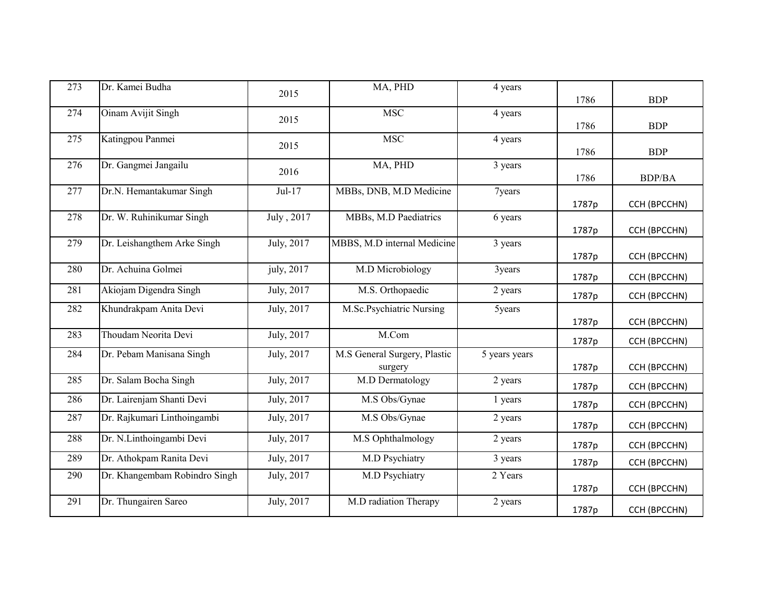| 273 | Dr. Kamei Budha               | 2015                    | MA, PHD                      | 4 years       |       |               |
|-----|-------------------------------|-------------------------|------------------------------|---------------|-------|---------------|
|     |                               |                         |                              |               | 1786  | <b>BDP</b>    |
| 274 | Oinam Avijit Singh            | 2015                    | <b>MSC</b>                   | 4 years       |       |               |
| 275 | Katingpou Panmei              |                         | <b>MSC</b>                   | 4 years       | 1786  | <b>BDP</b>    |
|     |                               | 2015                    |                              |               | 1786  | <b>BDP</b>    |
| 276 | Dr. Gangmei Jangailu          | 2016                    | MA, PHD                      | 3 years       |       |               |
|     |                               |                         |                              |               | 1786  | <b>BDP/BA</b> |
| 277 | Dr.N. Hemantakumar Singh      | $Jul-17$                | MBBs, DNB, M.D Medicine      | 7years        |       |               |
| 278 | Dr. W. Ruhinikumar Singh      | July, 2017              | MBBs, M.D Paediatrics        |               | 1787p | CCH (BPCCHN)  |
|     |                               |                         |                              | 6 years       | 1787p | CCH (BPCCHN)  |
| 279 | Dr. Leishangthem Arke Singh   | July, 2017              | MBBS, M.D internal Medicine  | 3 years       |       |               |
|     |                               |                         |                              |               | 1787p | CCH (BPCCHN)  |
| 280 | Dr. Achuina Golmei            | july, 2017              | M.D Microbiology             | 3years        |       |               |
| 281 | Akiojam Digendra Singh        | July, 2017              | M.S. Orthopaedic             | 2 years       | 1787p | CCH (BPCCHN)  |
|     |                               |                         |                              |               | 1787p | CCH (BPCCHN)  |
| 282 | Khundrakpam Anita Devi        | July, 2017              | M.Sc.Psychiatric Nursing     | 5years        |       |               |
|     |                               |                         |                              |               | 1787p | CCH (BPCCHN)  |
| 283 | Thoudam Neorita Devi          | July, 2017              | M.Com                        |               | 1787p | CCH (BPCCHN)  |
| 284 | Dr. Pebam Manisana Singh      | July, 2017              | M.S General Surgery, Plastic | 5 years years |       |               |
|     |                               |                         | surgery                      |               | 1787p | CCH (BPCCHN)  |
| 285 | Dr. Salam Bocha Singh         | July, 2017              | M.D Dermatology              | 2 years       | 1787p | CCH (BPCCHN)  |
| 286 | Dr. Lairenjam Shanti Devi     | July, 2017              | M.S Obs/Gynae                | 1 years       | 1787p | CCH (BPCCHN)  |
| 287 | Dr. Rajkumari Linthoingambi   | July, $201\overline{7}$ | M.S Obs/Gynae                | 2 years       | 1787p | CCH (BPCCHN)  |
| 288 | Dr. N.Linthoingambi Devi      | July, 2017              | M.S Ophthalmology            | 2 years       | 1787p | CCH (BPCCHN)  |
| 289 | Dr. Athokpam Ranita Devi      | July, 2017              | M.D Psychiatry               | 3 years       | 1787p | CCH (BPCCHN)  |
| 290 | Dr. Khangembam Robindro Singh | July, 2017              | M.D Psychiatry               | 2 Years       |       |               |
|     |                               |                         |                              |               | 1787p | CCH (BPCCHN)  |
| 291 | Dr. Thungairen Sareo          | July, 2017              | M.D radiation Therapy        | 2 years       | 1787p | CCH (BPCCHN)  |